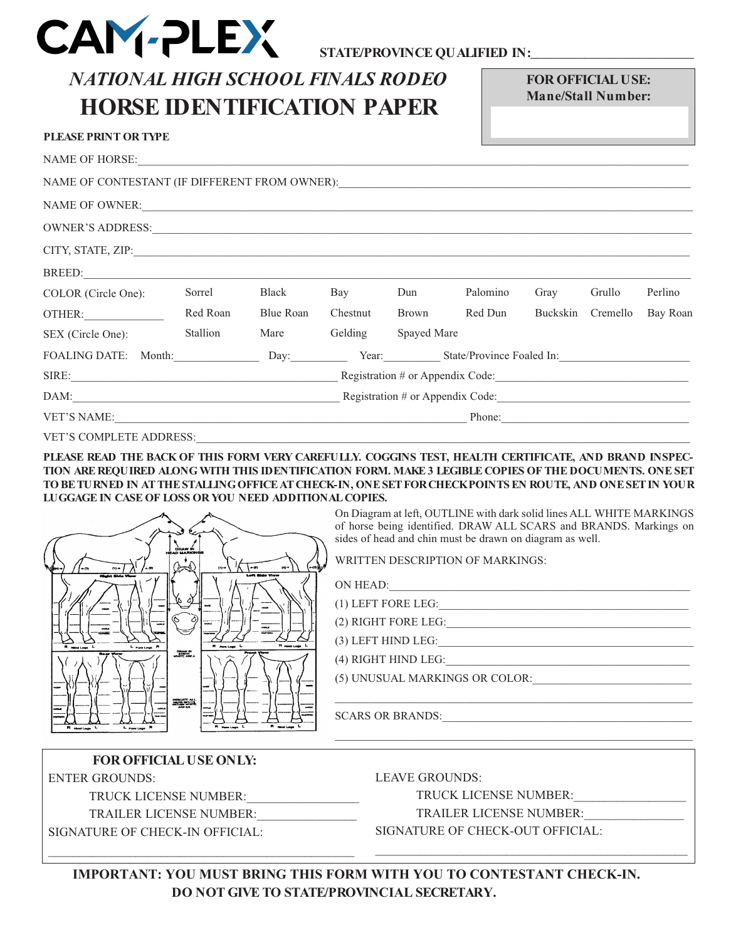

# *NATIONAL HIGH SCHOOL FINALS RODEO* **HORSE IDENTIFICATION PAPER**

**FOR OFFICIAL USE: Mane/Stall Number:**

| <b>PLEASE PRINT OR TYPE</b>                                                       |                                  |           |          |              |          |          |          |          |
|-----------------------------------------------------------------------------------|----------------------------------|-----------|----------|--------------|----------|----------|----------|----------|
| NAME OF HORSE: NAME OF HORSE:                                                     |                                  |           |          |              |          |          |          |          |
| NAME OF CONTESTANT (IF DIFFERENT FROM OWNER): ___________________________________ |                                  |           |          |              |          |          |          |          |
| NAME OF OWNER:                                                                    |                                  |           |          |              |          |          |          |          |
|                                                                                   |                                  |           |          |              |          |          |          |          |
|                                                                                   |                                  |           |          |              |          |          |          |          |
| BREED: PREED:                                                                     |                                  |           |          |              |          |          |          |          |
| COLOR (Circle One):                                                               | Sorrel                           | Black     | Bay      | Dun          | Palomino | Gray     | Grullo   | Perlino  |
| OTHER:                                                                            | Red Roan                         | Blue Roan | Chestnut | <b>Brown</b> | Red Dun  | Buckskin | Cremello | Bay Roan |
| SEX (Circle One):                                                                 | Stallion                         | Mare      | Gelding  | Spayed Mare  |          |          |          |          |
| FOALING DATE: Month: Day: Day: Year: State/Province Foaled In:                    |                                  |           |          |              |          |          |          |          |
|                                                                                   | Registration # or Appendix Code: |           |          |              |          |          |          |          |
|                                                                                   |                                  |           |          |              |          |          |          |          |
|                                                                                   | Phone:                           |           |          |              |          |          |          |          |

VET'S COMPLETE ADDRESS:

**PLEASE READ THE BACK OF THIS FORM VERY CAREFULLY. COGGINS TEST, HEALTH CERTIFICATE, AND BRAND INSPEC-TION ARE REQUIRED ALONG WITH THIS IDENTIFICATION FORM. MAKE 3 LEGIBLE COPIES OF THE DOCUMENTS. ONE SET TO BETURNED IN AT THESTALLINGOFFICEAT CHECK-IN, ONESET FORCHECKPOINTS EN ROUTE, AND ONESET IN YOUR LUGGAGE IN CASE OF LOSS OR YOU NEED ADDITIONAL COPIES.**

| ORAW IN  <br>HEAD MARKINGS                                                                                                                                                                                                                                                | On Diagram at left, OUTLINE with dark solid lines ALL WHITE MARKINGS<br>of horse being identified. DRAW ALL SCARS and BRANDS. Markings on<br>sides of head and chin must be drawn on diagram as well. |
|---------------------------------------------------------------------------------------------------------------------------------------------------------------------------------------------------------------------------------------------------------------------------|-------------------------------------------------------------------------------------------------------------------------------------------------------------------------------------------------------|
| (⊷นิเ∧<br>$(1) - 1$                                                                                                                                                                                                                                                       | WRITTEN DESCRIPTION OF MARKINGS:                                                                                                                                                                      |
| and State View<br>Might Side View                                                                                                                                                                                                                                         | ON HEAD:                                                                                                                                                                                              |
|                                                                                                                                                                                                                                                                           | (1) LEFT FORE LEG:                                                                                                                                                                                    |
|                                                                                                                                                                                                                                                                           | (2) RIGHT FORE LEG:                                                                                                                                                                                   |
| <b>R</b> modules<br><b>L'Eurotage P</b>                                                                                                                                                                                                                                   | (3) LEFT HIND LEG:                                                                                                                                                                                    |
| <b>DRAW BY</b><br>WOTE APPA<br><b>Provent Views</b>                                                                                                                                                                                                                       | (4) RIGHT HIND LEG:                                                                                                                                                                                   |
|                                                                                                                                                                                                                                                                           | (5) UNUSUAL MARKINGS OR COLOR:                                                                                                                                                                        |
| $\begin{picture}(120,115)(-0.000,0.000)(-0.000,0.000)(-0.000,0.000)(-0.000,0.000)(-0.000,0.000)(-0.000,0.000)(-0.000,0.000)(-0.000,0.000)(-0.000,0.000)(-0.000,0.000)(-0.000,0.000)(-0.000,0.000)(-0.000,0.000)(-0.000,0.000)(-0.000,0.000)(-0.000,0.000$<br><b>ANTAR</b> |                                                                                                                                                                                                       |
| wana a<br>Russian L                                                                                                                                                                                                                                                       | <b>SCARS OR BRANDS:</b>                                                                                                                                                                               |
| <sup>L</sup> Fore Legs                                                                                                                                                                                                                                                    |                                                                                                                                                                                                       |

# **FOR OFFICIAL USE ONLY:**

ENTER GROUNDS:

TRUCK LICENSE NUMBER:

TRAILER LICENSE NUMBER: SIGNATURE OF CHECK-IN OFFICIAL:

 $\mathcal{L}_\text{max}$  and  $\mathcal{L}_\text{max}$  and  $\mathcal{L}_\text{max}$  and  $\mathcal{L}_\text{max}$  and  $\mathcal{L}_\text{max}$ 

LEAVE GROUNDS:

TRUCK LICENSE NUMBER:\_\_\_\_\_\_\_\_\_\_\_\_\_\_\_\_\_\_

TRAILER LICENSE NUMBER:

\_\_\_\_\_\_\_\_\_\_\_\_\_\_\_\_\_\_\_\_\_\_\_\_\_\_\_\_\_\_\_\_\_\_\_\_\_\_\_\_\_\_\_\_\_\_\_\_\_\_

SIGNATURE OF CHECK-OUT OFFICIAL:

**IMPORTANT: YOU MUST BRING THIS FORM WITH YOU TO CONTESTANT CHECK-IN. DO NOT GIVE TO STATE/PROVINCIAL SECRETARY.**